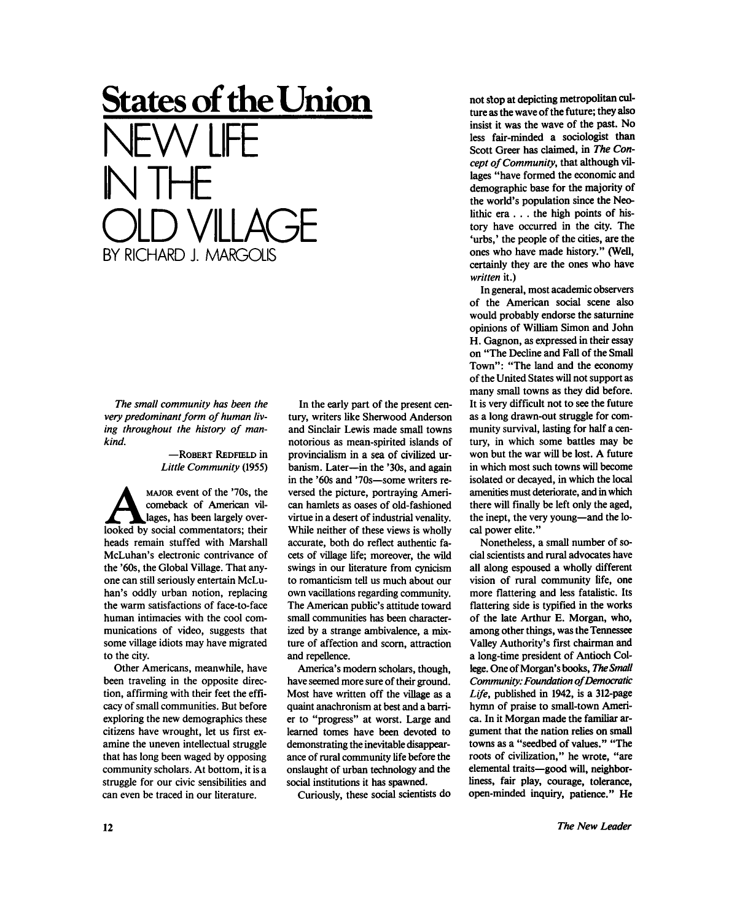## **States of the Union**  NEW LIFE NTHE OLD VILLAGE BY RICHARD J. MARGOLIS

*The small community has been the very predominant form of human living throughout the history of mankind.* 

— ROBERT REDFIELD in *Little Community* (1955)

MAJOR event of the '70s, the<br>
comeback of American vil-<br>
looked by social commentators; their MAJOR event of the '70s, the comeback of American villages, has been largely overheads remain stuffed with Marshall McLuhan's electronic contrivance of the '60s, the Global Village. That anyone can still seriously entertain McLu han's oddly urban notion, replacing the warm satisfactions of face-to-face human intimacies with the cool communications of video, suggests that some village idiots may have migrated to the city.

Other Americans, meanwhile, have been traveling in the opposite direction, affirming with their feet the efficacy of small communities. But before exploring the new demographics these citizens have wrought, let us first examine the uneven intellectual struggle that has long been waged by opposing community scholars. At bottom, it is a struggle for our civic sensibilities and can even be traced in our literature.

In the early part of the present century, writers like Sherwood Anderson and Sinclair Lewis made small towns notorious as mean-spirited islands of provincialism in a sea of civilized urbanism. Later—in the '30s, and again in the '60s and '70s—some writers reversed the picture, portraying American hamlets as oases of old-fashioned virtue in a desert of industrial venality. While neither of these views is wholly accurate, both do reflect authentic facets of village life; moreover, the wild swings in our literature from cynicism to romanticism tell us much about our own vacillations regarding community. The American public's attitude toward small communities has been characterized by a strange ambivalence, a mixture of affection and scorn, attraction and repellence.

America's modern scholars, though, have seemed more sure of their ground. Most have written off the village as a quaint anachronism at best and a barrier to "progress" at worst. Large and learned tomes have been devoted to demonstrating the inevitable disappearance of rural community life before the onslaught of urban technology and the social institutions it has spawned.

Curiously, these social scientists do

not stop at depicting metropolitan culture as the wave of the future; they also insist it was the wave of the past. No less fair-minded a sociologist than Scott Greer has claimed, in *The Concept of Community,* that although villages "have formed the economic and demographic base for the majority of the world's population since the Neolithic era . . . the high points of history have occurred in the city. The 'urbs,' the people of the cities, are the ones who have made history." (Well, certainly they are the ones who have *written* it.)

In general, most academic observers of the American social scene also would probably endorse the saturnine opinions of William Simon and John H. Gagnon, as expressed in their essay on "The Decline and Fall of the Small Town": "The land and the economy of the United States will not support as many small towns as they did before. It is very difficult not to see the future as a long drawn-out struggle for community survival, lasting for half a century, in which some battles may be won but the war will be lost. A future in which most such towns will become isolated or decayed, in which the local amenities must deteriorate, and in which there will finally be left only the aged, the inept, the very young—and the local power elite."

Nonetheless, a small number of social scientists and rural advocates have all along espoused a wholly different vision of rural community life, one more flattering and less fatalistic. Its flattering side is typified in the works of the late Arthur E. Morgan, who, among other things, was the Tennessee Valley Authority's first chairman and a long-time president of Antioch College. One of Morgan's books, *The Small Community: Foundation of Democratic Life,* published in 1942, is a 312-page hymn of praise to small-town America. In it Morgan made the familiar argument that the nation relies on small towns as a "seedbed of values." "The roots of civilization," he wrote, "are elemental traits—good will, neighborliness, fair play, courage, tolerance, open-minded inquiry, patience." He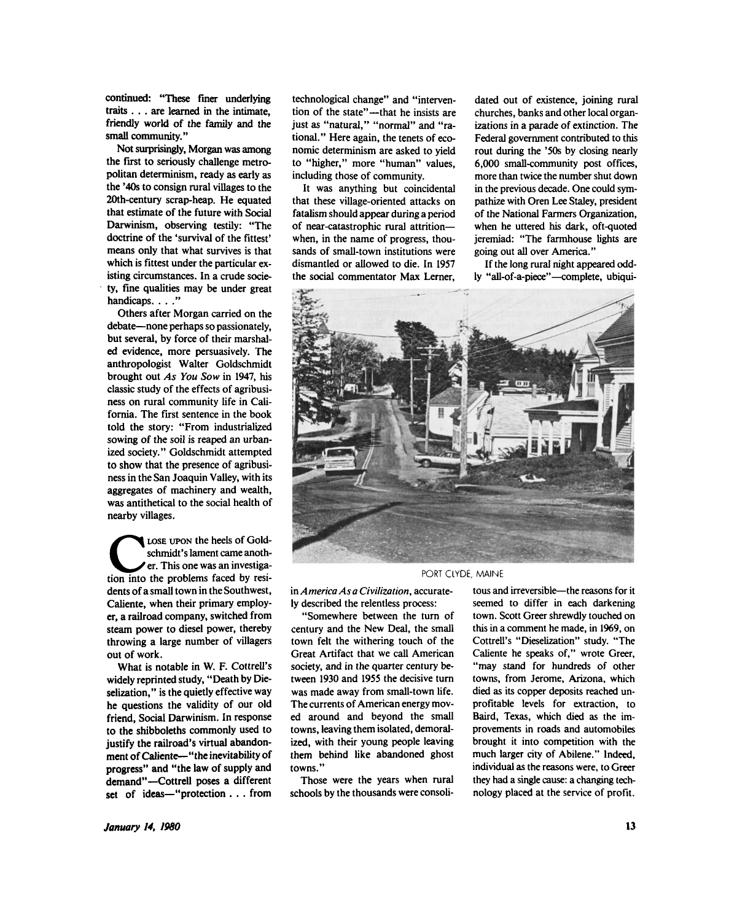continued: "These finer underlying traits .. . are learned in the intimate, friendly world of the family and the small community."

Not surprisingly, Morgan was among the first to seriously challenge metropolitan determinism, ready as early as the '40s to consign rural villages to the 20th-century scrap-heap. He equated that estimate of the future with Social Darwinism, observing testily: "The doctrine of the 'survival of the fittest' means only that what survives is that which is fittest under the particular existing circumstances. In a crude society, fine qualities may be under great handicaps. . . ."

Others after Morgan carried on the debate—none perhaps so passionately, but several, by force of their marshaled evidence, more persuasively. The anthropologist Walter Goldschmidt brought out *As You Sow* in 1947, his classic study of the effects of agribusiness on rural community life in California. The first sentence in the book told the story: "From industrialized sowing of the soil is reaped an urbanized society." Goldschmidt attempted to show that the presence of agribusiness in the San Joaquin Valley, with its aggregates of machinery and wealth, was antithetical to the social health of nearby villages.

LOSE UPON the heels of Goldschmidt's lament came another.<br>This one was an investigation into the problems faced by resi-LOSE UPON the heels of Goldschmidt's lament came another. This one was an investigadents of a small town in the Southwest, Caliente, when their primary employer, a railroad company, switched from steam power to diesel power, thereby throwing a large number of villagers out of work.

What is notable in W. F. Cottrell's widely reprinted study, "Death by Dieselization," is the quietly effective way he questions the validity of our old friend, Social Darwinism. In response to the shibboleths commonly used to justify the railroad's virtual abandonment of Caliente—"the inevitability of progress" and "the law of supply and demand"—Cottrell poses a different set of ideas—"protection . . . from

technological change" and "intervention of the state"—that he insists are just as "natural," "normal" and "rational." Here again, the tenets of economic determinism are asked to yield to "higher," more "human" values, including those of community.

It was anything but coincidental that these village-oriented attacks on fatalism should appear during a period of near-catastrophic rural attrition when, in the name of progress, thousands of small-town institutions were dismantled or allowed to die. In 1957 the social commentator Max Lerner.

dated out of existence, joining rural churches, banks and other local organizations in a parade of extinction. The Federal government contributed to this rout during the '50s by closing nearly 6,000 small-community post offices, more than twice the number shut down in the previous decade. One could sympathize with Oren Lee Staley, president of the National Farmers Organization, when he uttered his dark, oft-quoted jeremiad: "The farmhouse lights are going out all over America."

If the long rural night appeared oddly "all-of-a-piece"—complete, ubiqui-



PORT CLYDE. MAINE

in *America Asa Civilization,* accurately described the relentless process:

"Somewhere between the turn of century and the New Deal, the small town felt the withering touch of the Great Artifact that we call American society, and in the quarter century between 1930 and 1955 the decisive turn was made away from small-town life. The currents of American energy moved around and beyond the small towns, leaving them isolated, demoralized, with their young people leaving them behind like abandoned ghost towns."

Those were the years when rural schools by the thousands were consoli-

tous and irreversible—the reasons for it seemed to differ in each darkening town. Scott Greer shrewdly touched on this in a comment he made, in 1969, on Cottrell's "Dieselization" study. "The Caliente he speaks of," wrote Greer, "may stand for hundreds of other towns, from Jerome, Arizona, which died as its copper deposits reached unprofitable levels for extraction, to Baird, Texas, which died as the improvements in roads and automobiles brought it into competition with the much larger city of Abilene." Indeed, individual as the reasons were, to Greer they had a single cause: a changing technology placed at the service of profit.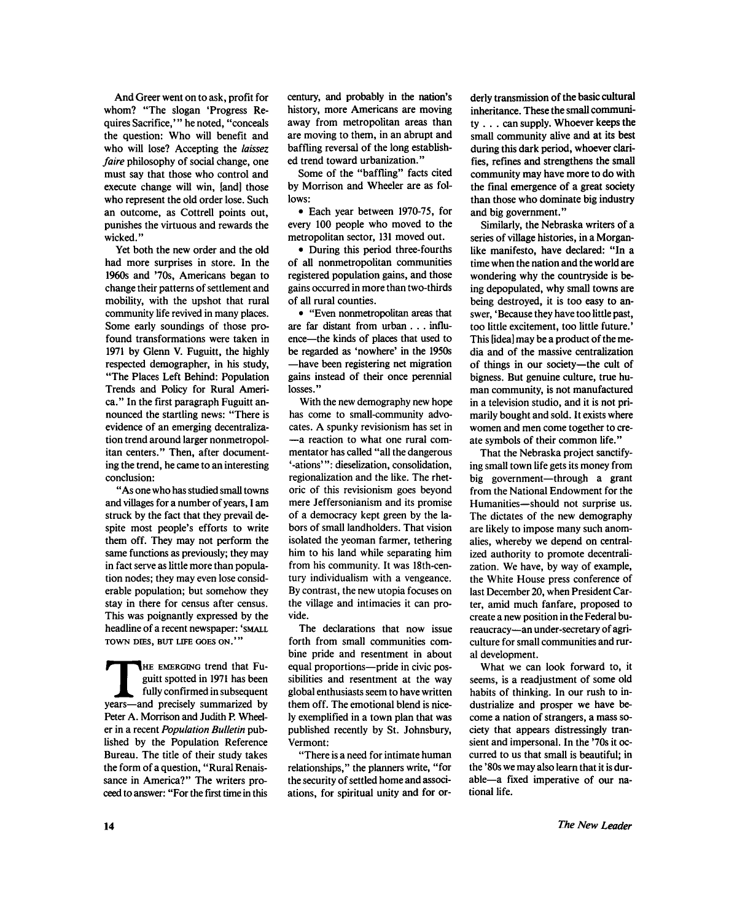And Greer went on to ask, profit for whom? "The slogan 'Progress Requires Sacrifice,'" he noted, "conceals the question: Who will benefit and who will lose? Accepting the *laissez faire* philosophy of social change, one must say that those who control and execute change will win, [and] those who represent the old order lose. Such an outcome, as Cottrell points out, punishes the virtuous and rewards the wicked."

Yet both the new order and the old had more surprises in store. In the 1960s and '70s, Americans began to change their patterns of settlement and mobility, with the upshot that rural community life revived in many places. Some early soundings of those profound transformations were taken in 1971 by Glenn V. Fuguitt, the highly respected demographer, in his study, "The Places Left Behind: Population Trends and Policy for Rural America. " In the first paragraph Fuguitt announced the startling news: "There is evidence of an emerging decentralization trend around larger nonmetropolitan centers." Then, after documenting the trend, he came to an interesting conclusion:

" As one who has studied small towns and villages for a number of years, I am struck by the fact that they prevail despite most people's efforts to write them off. They may not perform the same functions as previously; they may in fact serve as little more than population nodes; they may even lose considerable population; but somehow they stay in there for census after census. This was poignantly expressed by the headline of a recent newspaper: 'SMALL TOWN DIES, BUT LIFE GOES ON.""

THE EMERGING trend that Fuguitt spotted in 1971 has been fully confirmed in subsequent years—and precisely summarized by HE EMERGING trend that Fuguitt spotted in 1971 has been fully confirmed in subsequent Peter A. Morrison and Judith P. Wheeler in a recent *Population Bulletin* published by the Population Reference Bureau. The title of their study takes the form of a question, "Rural Renaissance in America?" The writers proceed to answer: "For the first time in this

century, and probably in the nation's history, more Americans are moving away from metropolitan areas than are moving to them, in an abrupt and baffling reversal of the long established trend toward urbanization."

Some of the "baffling" facts cited by Morrison and Wheeler are as follows:

• Each year between 1970-75, for every 100 people who moved to the metropolitan sector, 131 moved out.

• During this period three-fourths of all nonmetropolitan communities registered population gains, and those gains occurred in more than two-thirds of all rural counties.

• "Even nonmetropolitan areas that are far distant from urban . . . influence—the kinds of places that used to be regarded as 'nowhere' in the 1950s —have been registering net migration gains instead of their once perennial losses."

With the new demography new hope has come to small-community advocates. A spunky revisionism has set in —a reaction to what one rural commentator has called "all the dangerous '-ations'": dieselization, consolidation, regionalization and the like. The rhetoric of this revisionism goes beyond mere Jeffersonianism and its promise of a democracy kept green by the labors of small landholders. That vision isolated the yeoman farmer, tethering him to his land while separating him from his community. It was 18th-century individualism with a vengeance. By contrast, the new utopia focuses on the village and intimacies it can provide.

The declarations that now issue forth from small communities combine pride and resentment in about equal proportions—pride in civic possibilities and resentment at the way global enthusiasts seem to have written them off. The emotional blend is nicely exemplified in a town plan that was published recently by St. Johnsbury, Vermont:

"There is a need for intimate human relationships," the planners write, "for the security of settled home and associations, for spiritual unity and for orderly transmission of the basic cultural inheritance. These the small community . . . can supply. Whoever keeps the small community alive and at its best during this dark period, whoever clarifies, refines and strengthens the small community may have more to do with the final emergence of a great society than those who dominate big industry and big government."

Similarly, the Nebraska writers of a series of village histories, in a Morganlike manifesto, have declared: "In a time when the nation and the world are wondering why the countryside is being depopulated, why small towns are being destroyed, it is too easy to answer, 'Because they have too little past, too little excitement, too little future.' This [idea] may be a product of the media and of the massive centralization of things in our society—the cult of bigness. But genuine culture, true human community, is not manufactured in a television studio, and it is not primarily bought and sold. It exists where women and men come together to create symbols of their common life."

That the Nebraska project sanctifying small town life gets its money from big government—through a grant from the National Endowment for the Humanities—should not surprise us. The dictates of the new demography are likely to impose many such anomalies, whereby we depend on centralized authority to promote decentralization. We have, by way of example, the White House press conference of last December 20, when President Carter, amid much fanfare, proposed to create a new position in the Federal bureaucracy—an under-secretary of agriculture for small communities and rural development.

What we can look forward to, it seems, is a readjustment of some old habits of thinking. In our rush to industrialize and prosper we have become a nation of strangers, a mass society that appears distressingly transient and impersonal. In the '70s it occurred to us that small is beautiful; in the '80s we may also learn that it is durable—a fixed imperative of our national life.